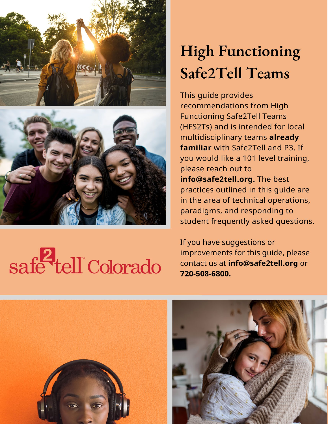



# safe tell Colorado

## **High Functioning Safe2Tell Teams**

This guide provides recommendations from High **Functioning Safe2Tell Teams** (HFS2Ts) and is intended for local multidisciplinary teams already familiar with Safe2Tell and P3. If you would like a 101 level training, please reach out to info@safe2tell.org. The best practices outlined in this quide are in the area of technical operations, paradigms, and responding to student frequently asked questions.

If you have suggestions or improvements for this quide, please contact us at info@safe2tell.org or 720-508-6800.



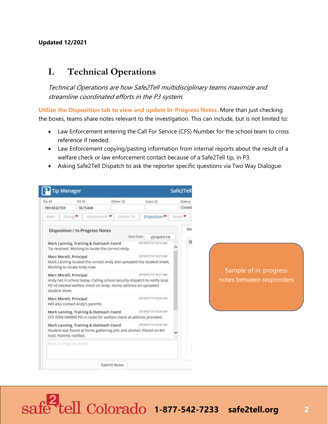### **I. Technical Operations**

Technical Operations are how Safe2Tell multidisciplinary teams maximize and streamline coordinated efforts in the P3 system.

**Utilize the Disposition tab to view and update In-Progress Notes.** More than just checking the boxes, teams share notes relevant to the investigation. This can include, but is not limited to:

- Law Enforcement entering the Call For Service (CFS) Number for the school team to cross reference if needed.
- welfare check or law enforcement contact because of a Safe2Tell tip, in P3. • Law Enforcement copying/pasting information from internal reports about the result of a
- Asking Safe2Tell Dispatch to ask the reporter specific questions via Two Way Dialogue.

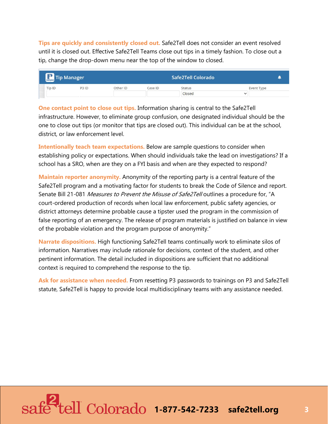until it is closed out. Effective Safe2Tell Teams close out tips in a timely fashion. To close out a **Tips are quickly and consistently closed out.** Safe2Tell does not consider an event resolved tip, change the drop-down menu near the top of the window to closed.

|        | $\frac{3}{2}$ Tip Manager |                   |          |         | Safe2Tell Colorado |                   |  |
|--------|---------------------------|-------------------|----------|---------|--------------------|-------------------|--|
| Tip ID |                           | P <sub>3</sub> ID | Other ID | Case ID | <b>Status</b>      | <b>Event Type</b> |  |
|        |                           |                   |          |         | Closed             | $\checkmark$      |  |

**One contact point to close out tips.** Information sharing is central to the Safe2Tell infrastructure. However, to eliminate group confusion, one designated individual should be the one to close out tips (or monitor that tips are closed out). This individual can be at the school, district, or law enforcement level.

**Intentionally teach team expectations.** Below are sample questions to consider when establishing policy or expectations. When should individuals take the lead on investigations? If a school has a SRO, when are they on a FYI basis and when are they expected to respond?

Senate Bill 21-081 *Measures to Prevent the Misuse of Safe2Tell* outlines a procedure for, "A **Maintain reporter anonymity.** Anonymity of the reporting party is a central feature of the Safe2Tell program and a motivating factor for students to break the Code of Silence and report. court-ordered production of records when local law enforcement, public safety agencies, or district attorneys determine probable cause a tipster used the program in the commission of false reporting of an emergency. The release of program materials is justified on balance in view of the probable violation and the program purpose of anonymity."

 pertinent information. The detail included in dispositions are sufficient that no additional **Narrate dispositions.** High functioning Safe2Tell teams continually work to eliminate silos of information. Narratives may include rationale for decisions, context of the student, and other context is required to comprehend the response to the tip.

 statute, Safe2Tell is happy to provide local multidisciplinary teams with any assistance needed. **Ask for assistance when needed.** From resetting P3 passwords to trainings on P3 and Safe2Tell

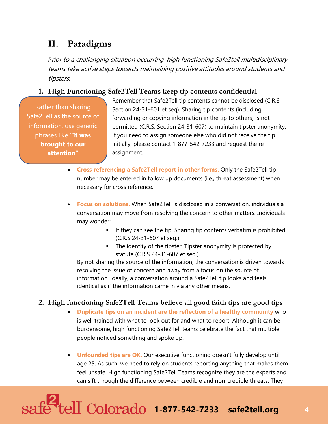### **II. Paradigms**

 tipsters. *P*rior to a challenging situation occurring, high functioning Safe2tell multidisciplinary teams take active steps towards maintaining positive attitudes around students and

### **1. High Functioning Safe2Tell Teams keep tip contents confidential**

Rather than sharing Safe2Tell as the source of information, use generic phrases like **"It was brought to our attention"** 

Remember that Safe2Tell tip contents cannot be disclosed (C.R.S. Section 24-31-601 et seq). Sharing tip contents (including forwarding or copying information in the tip to others) is not permitted (C.R.S. Section 24-31-607) to maintain tipster anonymity. If you need to assign someone else who did not receive the tip initially, please contact 1-877-542-7233 and request the reassignment.

- **Cross referencing a Safe2Tell report in other forms.** Only the Safe2Tell tip number may be entered in follow up documents (i.e., threat assessment) when necessary for cross reference.
- **Focus on solutions.** When Safe2Tell is disclosed in a conversation, individuals a conversation may move from resolving the concern to other matters. Individuals may wonder:
	- **If they can see the tip. Sharing tip contents verbatim is prohibited** (C.R.S 24-31-607 et seq.).
	- The identity of the tipster. Tipster anonymity is protected by statute (C.R.S 24-31-607 et seq.).

 resolving the issue of concern and away from a focus on the source of By not sharing the source of the information, the conversation is driven towards information. Ideally, a conversation around a Safe2Tell tip looks and feels identical as if the information came in via any other means.

### **2. High functioning Safe2Tell Teams believe all good faith tips are good tips**

- **Duplicate tips on an incident are the reflection of a healthy community** who is well trained with what to look out for and what to report. Although it can be burdensome, high functioning Safe2Tell teams celebrate the fact that multiple people noticed something and spoke up.
- **Unfounded tips are OK.** Our executive functioning doesn't fully develop until age 25. As such, we need to rely on students reporting anything that makes them feel unsafe. High functioning Safe2Tell Teams recognize they are the experts and can sift through the difference between credible and non-credible threats. They

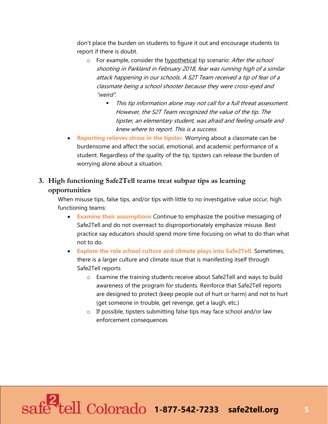don't place the burden on students to figure it out and encourage students to report if there is doubt.

- o For example, consider the hypothetical tip scenario: After the school shooting in Parkland in February 2018, fear was running high of a similar attack happening in our schools. A S2T Team received a tip of fear of a classmate being a school shooter because they were cross-eyed and "weird".
	- $\blacksquare$  This tip information alone may not call for a full threat assessment. However, the S2T Team recognized the value of the tip. The tipster, an elementary student, was afraid and feeling unsafe and knew where to report. This is a success.
- **Reporting relieves stress in the tipster.** Worrying about a classmate can be burdensome and affect the social, emotional, and academic performance of a student. Regardless of the quality of the tip, tipsters can release the burden of worrying alone about a situation.

### **3. High functioning Safe2Tell teams treat subpar tips as learning opportunities**

When misuse tips, false tips, and/or tips with little to no investigative value occur, high functioning teams:

- **Examine their assumptions** Continue to emphasize the positive messaging of Safe2Tell and do not overreact to disproportionately emphasize misuse. Best practice say educators should spend more time focusing on what to do than what not to do.
- **Explore the role school culture and climate plays into Safe2Tell.** Sometimes, there is a larger culture and climate issue that is manifesting itself through Safe2Tell reports
	- are designed to protect (keep people out of hurt or harm) and not to hurt (get someone in trouble, get revenge, get a laugh, etc.) o Examine the training students receive about Safe2Tell and ways to build awareness of the program for students. Reinforce that Safe2Tell reports
	- o If possible, tipsters submitting false tips may face school and/or law enforcement consequences

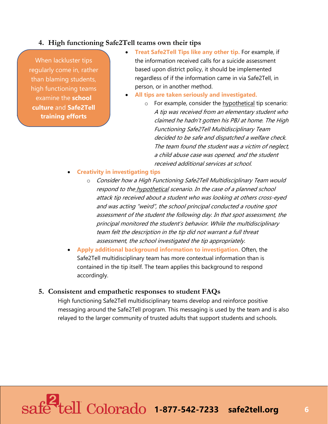### **4. High functioning Safe2Tell teams own their tips**

When lackluster tips regularly come in, rather than blaming students, high functioning teams examine the **school culture** and **Safe2Tell training efforts** 

- the information received calls for a suicide assessment • **Treat Safe2Tell Tips like any other tip.** For example, if based upon district policy, it should be implemented regardless of if the information came in via Safe2Tell, in person, or in another method.
- **All tips are taken seriously and investigated.** 
	- A tip was received from an elementary student who o For example, consider the hypothetical tip scenario: claimed he hadn't gotten his PBJ at home. The High Functioning Safe2Tell Multidisciplinary Team decided to be safe and dispatched a welfare check. The team found the student was a victim of neglect, a child abuse case was opened, and the student received additional services at school.
- **Creativity in investigating tips** 
	- o Consider how a High Functioning Safe2Tell Multidisciplinary Team would respond to the hypothetical scenario. In the case of a planned school attack tip received about a student who was looking at others cross-eyed and was acting "weird", the school principal conducted a routine spot assessment of the student the following day. In that spot assessment, the principal monitored the student's behavior. While the multidisciplinary team felt the description in the tip did not warrant a full threat assessment, the school investigated the tip appropriately.
- **Apply additional background information to investigation.** Often, the Safe2Tell multidisciplinary team has more contextual information than is contained in the tip itself. The team applies this background to respond accordingly.

### **5. Consistent and empathetic responses to student FAQs**

 messaging around the Safe2Tell program. This messaging is used by the team and is also High functioning Safe2Tell multidisciplinary teams develop and reinforce positive relayed to the larger community of trusted adults that support students and schools.

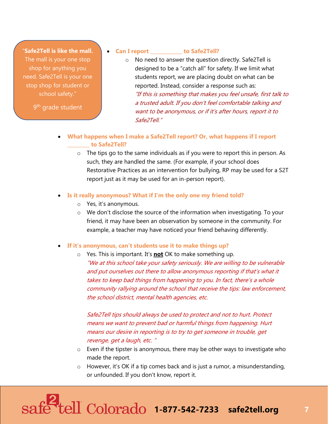"**Safe2Tell is like the mall.**  The mall is your one stop shop for anything you need. Safe2Tell is your one stop shop for student or school safety."

9<sup>th</sup> grade student

### • **Can I report \_\_\_\_\_\_\_\_\_\_\_\_\_ to Safe2Tell?**

- $\circ$  No need to answer the question directly. Safe2Tell is designed to be a "catch all" for safety. If we limit what students report, we are placing doubt on what can be reported. Instead, consider a response such as: "If this is something that makes you feel unsafe, first talk to a trusted adult. If you don't feel comfortable talking and want to be anonymous, or if it's after hours, report it to Safe<sub>2</sub>Tell<sup>"</sup>
- **What happens when I make a Safe2Tell report? Or, what happens if I report \_\_\_\_\_\_\_\_\_ to Safe2Tell?** 
	- $\circ$  The tips go to the same individuals as if you were to report this in person. As Restorative Practices as an intervention for bullying, RP may be used for a S2T such, they are handled the same. (For example, if your school does report just as it may be used for an in-person report).
- **Is it really anonymous? What if I'm the only one my friend told?** 
	- o Yes, it's anonymous.
	- example, a teacher may have noticed your friend behaving differently. o We don't disclose the source of the information when investigating. To your friend, it may have been an observation by someone in the community. For
- **If it's anonymous, can't students use it to make things up?** 
	- o Yes. This is important. It's **not** OK to make something up.

 and put ourselves out there to allow anonymous reporting if that's what it "We at this school take your safety seriously. We are willing to be vulnerable takes to keep bad things from happening to you. In fact, there's a whole community rallying around the school that receive the tips: law enforcement, the school district, mental health agencies, etc.

Safe2Tell tips should always be used to protect and not to hurt. Protect means we want to prevent bad or harmful things from happening. Hurt means our desire in reporting is to try to get someone in trouble, get revenge, get a laugh, etc. "

- $\circ$  Even if the tipster is anonymous, there may be other ways to investigate who made the report.
- $\circ$  However, it's OK if a tip comes back and is just a rumor, a misunderstanding, or unfounded. If you don't know, report it.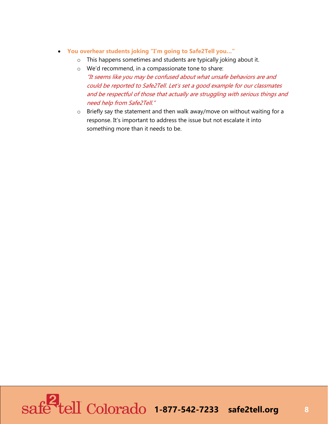### • **You overhear students joking "I'm going to Safe2Tell you…"**

- $\circ$  This happens sometimes and students are typically joking about it.
- "It seems like you may be confused about what unsafe behaviors are and o We'd recommend, in a compassionate tone to share: could be reported to Safe2Tell. Let's set a good example for our classmates

and be respectful of those that actually are struggling with serious things and need help from Safe2Tell."

 $\circ$  Briefly say the statement and then walk away/move on without waiting for a response. It's important to address the issue but not escalate it into something more than it needs to be.

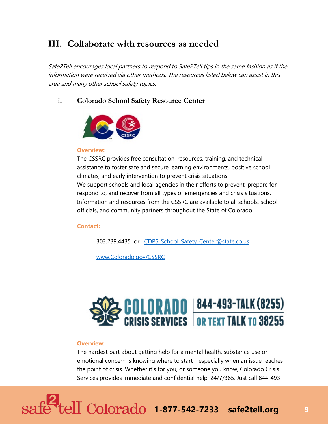### **III. Collaborate with resources as needed**

Safe2Tell encourages local partners to respond to Safe2Tell tips in the same fashion as if the information were received via other methods. The resources listed below can assist in this area and many other school safety topics.

### **i. Colorado School Safety Resource Center**



### **Overview:**

climates, and early intervention to prevent crisis situations. climates, and early intervention to prevent crisis situations.<br>We support schools and local agencies in their efforts to prevent, prepare for, The CSSRC provides free consultation, resources, training, and technical assistance to foster safe and secure learning environments, positive school respond to, and recover from all types of emergencies and crisis situations. Information and resources from the CSSRC are available to all schools, school officials, and community partners throughout the State of Colorado.

### **Contact:**

303.239.4435 or CDPS School Safety Center@state.co.us

[www.Colorado.gov/CSSRC](http://www.colorado.gov/CSSRC) 



### **Overview:**

The hardest part about getting help for a mental health, substance use or emotional concern is knowing where to start—especially when an issue reaches the point of crisis. Whether it's for you, or someone you know, Colorado Crisis Services provides immediate and confidential help, 24/7/365. Just call 844-493-